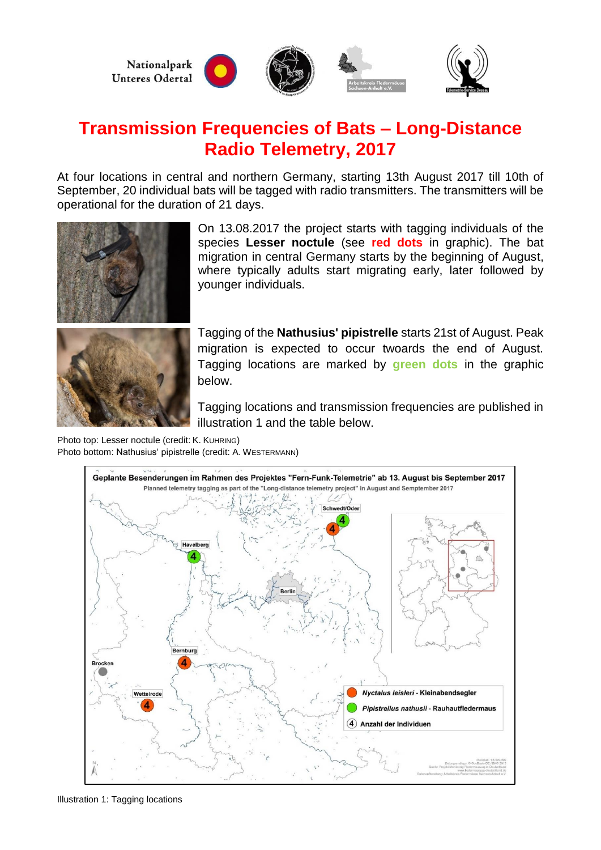

# **Transmission Frequencies of Bats – Long-Distance Radio Telemetry, 2017**

At four locations in central and northern Germany, starting 13th August 2017 till 10th of September, 20 individual bats will be tagged with radio transmitters. The transmitters will be operational for the duration of 21 days.



On 13.08.2017 the project starts with tagging individuals of the species **Lesser noctule** (see **red dots** in graphic). The bat migration in central Germany starts by the beginning of August, where typically adults start migrating early, later followed by younger individuals.

Tagging of the **Nathusius' pipistrelle** starts 21st of August. Peak migration is expected to occur twoards the end of August. Tagging locations are marked by **green dots** in the graphic below.

Tagging locations and transmission frequencies are published in illustration 1 and the table below.

Photo top: Lesser noctule (credit: K. KUHRING) Photo bottom: Nathusius' pipistrelle (credit: A. WESTERMANN)



Illustration 1: Tagging locations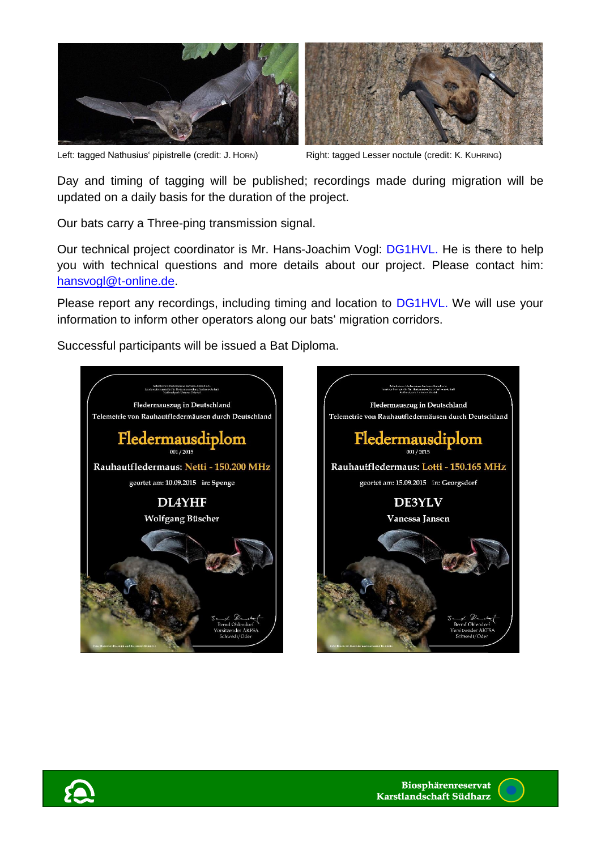

Left: tagged Nathusius' pipistrelle (credit: J. HORN) Right: tagged Lesser noctule (credit: K. KUHRING)



Day and timing of tagging will be published; recordings made during migration will be updated on a daily basis for the duration of the project.

Our bats carry a Three-ping transmission signal.

Our technical project coordinator is Mr. Hans-Joachim Vogl: DG1HVL. He is there to help you with technical questions and more details about our project. Please contact him: [hansvogl@t-online.de.](mailto:hansvogl@t-online.de)

Please report any recordings, including timing and location to DG1HVL. We will use your information to inform other operators along our bats' migration corridors.

Successful participants will be issued a Bat Diploma.